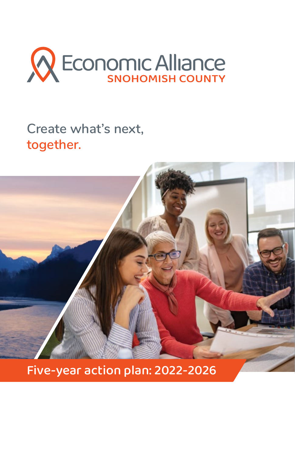

# **Create what's next, together.**



Five-year action plan: 2022-2026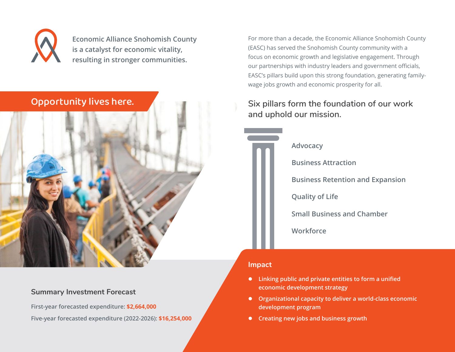

**Economic Alliance Snohomish County is a catalyst for economic vitality, resulting in stronger communities.**



#### **Summary Investment Forecast**

**First-year forecasted expenditure: \$2,664,000**

**Five-year forecasted expenditure (2022-2026): \$16,254,000**

For more than a decade, the Economic Alliance Snohomish County (EASC) has served the Snohomish County community with a focus on economic growth and legislative engagement. Through our partnerships with industry leaders and government officials, EASC's pillars build upon this strong foundation, generating familywage jobs growth and economic prosperity for all.

# **Six pillars form the foundation of our work and uphold our mission.**

**Advocacy**

**Business Attraction**

**Business Retention and Expansion**

**Quality of Life**

**Small Business and Chamber**

**Workforce**

#### **Impact**

- **•** Linking public and private entities to form a unified **economic development strategy**
- **•** Organizational capacity to deliver a world-class economic **development program**
- **•** Creating new jobs and business growth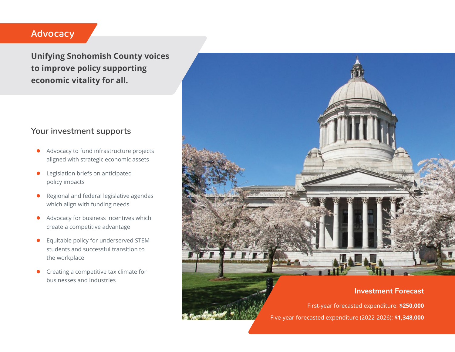# Advocacy

**Unifying Snohomish County voices to improve policy supporting economic vitality for all.**

## **Your investment supports**

- Advocacy to fund infrastructure projects aligned with strategic economic assets
- Legislation briefs on anticipated policy impacts
- Regional and federal legislative agendas which align with funding needs
- Advocacy for business incentives which create a competitive advantage
- **•** Equitable policy for underserved STEM students and successful transition to the workplace
- $\bullet$  Creating a competitive tax climate for businesses and industries



First-year forecasted expenditure: **\$250,000** Five-year forecasted expenditure (2022-2026): **\$1,348,000**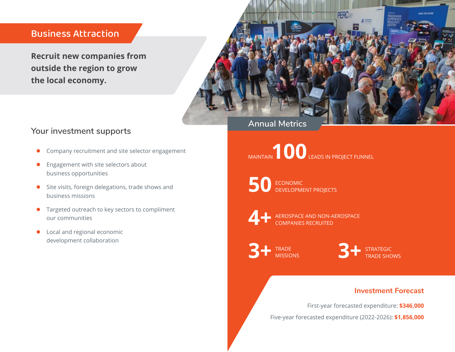## Business Attraction

**Recruit new companies from outside the region to grow the local economy.**



## **Your investment supports**

- Company recruitment and site selector engagement
- $\bullet$  Engagement with site selectors about business opportunities
- Site visits, foreign delegations, trade shows and business missions
- **•** Targeted outreach to key sectors to compliment our communities
- Local and regional economic development collaboration

**Annual Metrics**

MAINTAIN **100** LEADS IN PROJECT FUNNEL

**50** ECONOMIC<br>DEVELOPMENT PROJECTS



AEROSPACE AND NON-AEROSPACE COMPANIES RECRUITED

TRADE **MISSIONS** 

3<sup>+</sup> STRATEGIC **3**<sup>TRADE</sup> MISSIONS

### **Investment Forecast**

First-year forecasted expenditure: **\$346,000**

Five-year forecasted expenditure (2022-2026): **\$1,856,000**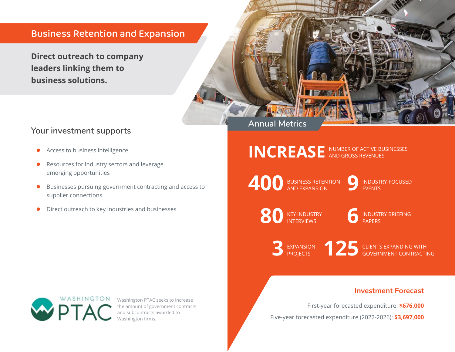# Business Retention and Expansion

**Direct outreach to company leaders linking them to business solutions.**



## **Your investment supports**

- Access to business intelligence
- Resources for industry sectors and leverage emerging opportunities
- **•** Businesses pursuing government contracting and access to supplier connections
- Direct outreach to key industries and businesses

INCREASE<sup>NUMBER OF ACTIVE BUSINESSES</sup>

**400** BUSINESS RETENTION **9** 

INDUSTRY-FOCUSED **EVENTS** 

**80** KEY INDUSTRY **6** 

INDUSTRY BRIEFING PAPERS

**3** EXPANSION **125** 

CLIENTS EXPANDING WITH GOVERNMENT CONTRACTING

#### **Investment Forecast**

First-year forecasted expenditure: **\$676,000**

Five-year forecasted expenditure (2022-2026): **\$3,697,000**



Washington PTAC seeks to increase the amount of government contracts and subcontracts awarded to Washington firms.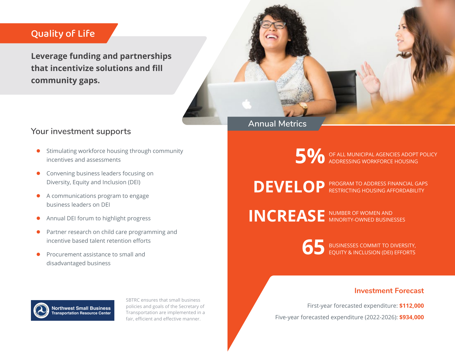# Quality of Life

**Leverage funding and partnerships that incentivize solutions and fill community gaps.**



## **Your investment supports**

- Stimulating workforce housing through community incentives and assessments
- Convening business leaders focusing on Diversity, Equity and Inclusion (DEI)
- A communications program to engage business leaders on DEI
- **•** Annual DEI forum to highlight progress
- Partner research on child care programming and incentive based talent retention efforts
- Procurement assistance to small and disadvantaged business

## **Annual Metrics**

**5 %** OF ALL MUNICIPAL AGENCIES ADOPT POLICY ADDRESSING WORKFORCE HOUSING

DEVELOP<sup>PROGRAM TO ADDRESS FINANCIAL GAPS</sup>

INCREASE<sup>NUMBER OF WOMEN AND</sup>



**65** BUSINESSES COMMIT TO DIVERSITY,<br>
EQUITY & INCLUSION (DEI) EFFORTS

#### **Investment Forecast**

First-year forecasted expenditure: **\$112,000**

Five-year forecasted expenditure (2022-2026): **\$934,000**



SBTRC ensures that small business policies and goals of the Secretary of Transportation are implemented in a fair, efficient and effective manner.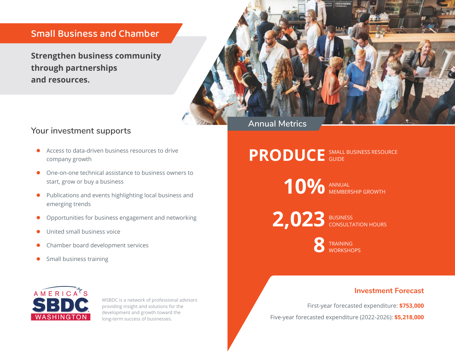## Small Business and Chamber

**Strengthen business community through partnerships and resources.**



## **Your investment supports**

- Access to data-driven business resources to drive company growth
- $\bullet$  One-on-one technical assistance to business owners to start, grow or buy a business
- Publications and events highlighting local business and emerging trends
- Opportunities for business engagement and networking
- United small business voice
- Chamber board development services
- $\bullet$  Small business training



WSBDC is a network of professional advisors providing insight and solutions for the development and growth toward the long-term success of businesses.

### SMALL BUSINESS RESOURCE **PRODUCE** SMALL

**10%** ANNUAL MEMBERSHIP GROWTH

**2,023 BUSINESS** CONSULTATION HOURS

**8** TRAINING<br>
WORKSHOPS

### **Investment Forecast**

First-year forecasted expenditure: **\$753,000**

Five-year forecasted expenditure (2022-2026): **\$5,218,000**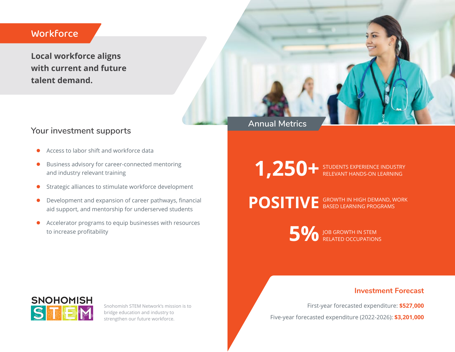## **Workforce**

**Local workforce aligns with current and future talent demand.**



## **Your investment supports**

- Access to labor shift and workforce data
- **•** Business advisory for career-connected mentoring and industry relevant training
- **•** Strategic alliances to stimulate workforce development
- $\bullet$  Development and expansion of career pathways, financial aid support, and mentorship for underserved students
- **•** Accelerator programs to equip businesses with resources to increase profitability

**1,250+** STUDENTS EXPERIENCE INDUSTRY RELEVANT HANDS-ON LEARNING

POSITIVE GROWTH IN HIGH DEMAND, WORK BASED LEARNING PROGRAMS

> **5%** JOB GROWTH IN STEM RELATED OCCUPATIONS

## **Investment Forecast**

First-year forecasted expenditure: **\$527,000**

Five-year forecasted expenditure (2022-2026): **\$3,201,000**



Snohomish STEM Network's mission is to bridge education and industry to strengthen our future workforce.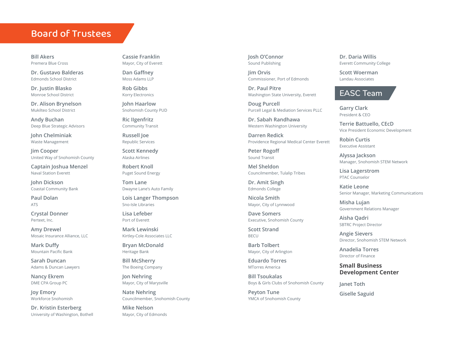## Board of Trustees

**Bill Akers** Premera Blue Cross

**Dr. Gustavo Balderas** Edmonds School District

**Dr. Justin Blasko** Monroe School District

**Dr. Alison Brynelson** Mukilteo School District

**Andy Buchan** Deep Blue Strategic Advisors

**John Chelminiak** Waste Management

**Jim Cooper** United Way of Snohomish County

**Captain Joshua Menzel** Naval Station Everett

**John Dickson**  Coastal Community Bank

**Paul Dolan** ATS

**Crystal Donner** Perteet, Inc.

**Amy Drewel** Mosaic Insurance Alliance, LLC

**Mark Duffy**  Mountain Pacific Bank

**Sarah Duncan** Adams & Duncan Lawyers

**Nancy Ekrem**  DME CPA Group PC

**Joy Emory** Workforce Snohomish

**Dr. Kristin Esterberg** University of Washington, Bothell

**Cassie Franklin** Mayor, City of Everett

**Dan Gaffney** Moss Adams LLP

**Rob Gibbs** Korry Electronics

**John Haarlow** Snohomish County PUD

**Ric IIgenfritz** Community Transit

**Russell Joe** Republic Services

**Scott Kennedy** Alaska Airlines

**Robert Knoll** Puget Sound Energy

**Tom Lane** Dwayne Lane's Auto Family

**Lois Langer Thompson** Sno-Isle Libraries

**Lisa Lefeber** Port of Everett

**Mark Lewinski** Kirtley-Cole Associates LLC

**Bryan McDonald** Heritage Bank

**Bill McSherry** The Boeing Company

**Jon Nehring** Mayor, City of Marysville

**Nate Nehring** Councilmember, Snohomish County

**Mike Nelson** Mayor, City of Edmonds **Josh O'Connor** Sound Publishing

**Jim Orvis**  Commissioner, Port of Edmonds

**Dr. Paul Pitre** Washington State University, Everett

**Doug Purcell** Purcell Legal & Mediation Services PLLC

**Dr. Sabah Randhawa** Western Washington University

**Darren Redick** Providence Regional Medical Center Everett

**Peter Rogoff** Sound Transit

**Mel Sheldon** Councilmember, Tulalip Tribes

**Dr. Amit Singh** Edmonds College

**Nicola Smith** Mayor, City of Lynnwood

**Dave Somers** Executive, Snohomish County

**Scott Strand** BECU

**Barb Tolbert** Mayor, City of Arlington

**Eduardo Torres** MTorres America

**Bill Tsoukalas** Boys & Girls Clubs of Snohomish County

**Peyton Tune** YMCA of Snohomish County **Dr. Daria Willis** Everett Community College

**Scott Woerman** Landau Associates

## **EASC Team**

**Garry Clark**  President & CEO

**Terrie Battuello, CEcD** Vice President Economic Development

**Robin Curtis** Executive Assistant

**Alyssa Jackson** Manager, Snohomish STEM Network

**Lisa Lagerstrom** PTAC Counselor

**Katie Leone** Senior Manager, Marketing Communications

**Misha Lujan** Government Relations Manager

**Aisha Qadri** SBTRC Project Director

**Angie Sievers** Director, Snohomish STEM Network

**Anadelia Torres** Director of Finance

**Small Business Development Center**

**Janet Toth Giselle Saguid**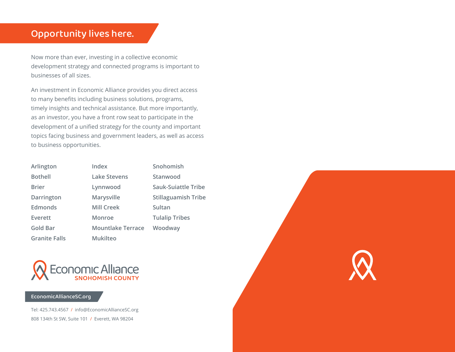# Opportunity lives here.

Now more than ever, investing in a collective economic development strategy and connected programs is important to businesses of all sizes.

An investment in Economic Alliance provides you direct access to many benefits including business solutions, programs, timely insights and technical assistance. But more importantly, as an investor, you have a front row seat to participate in the development of a unified strategy for the county and important topics facing business and government leaders, as well as access to business opportunities.

| Arlington            | Index                    | Snohomish                  |
|----------------------|--------------------------|----------------------------|
| <b>Bothell</b>       | <b>Lake Stevens</b>      | Stanwood                   |
| <b>Brier</b>         | Lynnwood                 | Sauk-Suiattle Tribe        |
| Darrington           | Marysville               | <b>Stillaguamish Tribe</b> |
| <b>Edmonds</b>       | <b>Mill Creek</b>        | Sultan                     |
| Everett              | Monroe                   | <b>Tulalip Tribes</b>      |
| <b>Gold Bar</b>      | <b>Mountlake Terrace</b> | Woodway                    |
| <b>Granite Falls</b> | <b>Mukilteo</b>          |                            |
|                      |                          |                            |



#### [EconomicAllianceSC.org](http://EconomicAllianceSC.org)

Tel: 425.743.4567 / [info@EconomicAllianceSC.org](mailto:info@EconomicAllianceSC.org) 808 134th St SW, Suite 101 / Everett, WA 98204